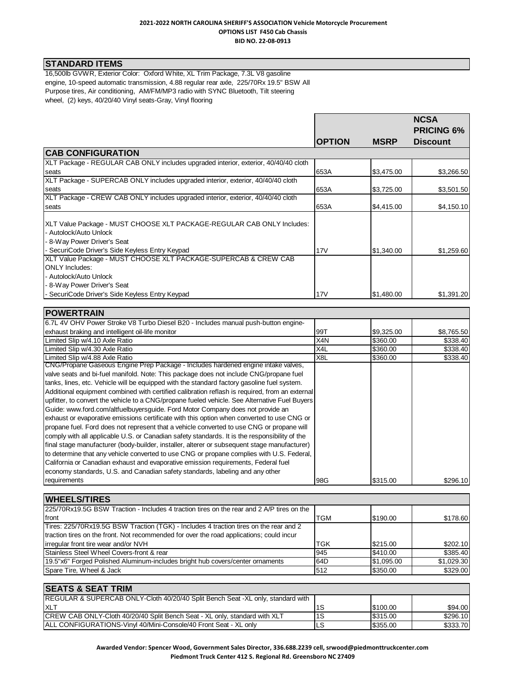### **2021-2022 NORTH CAROLINA SHERIFF'S ASSOCIATION Vehicle Motorcycle Procurement OPTIONS LIST F450 Cab Chassis BID NO. 22-08-0913**

# **STANDARD ITEMS**

**POWERTRAIN**

16,500lb GVWR, Exterior Color: Oxford White, XL Trim Package, 7.3L V8 gasoline engine, 10-speed automatic transmission, 4.88 regular rear axle, 225/70Rx 19.5" BSW All Purpose tires, Air conditioning, AM/FM/MP3 radio with SYNC Bluetooth, Tilt steering wheel, (2) keys, 40/20/40 Vinyl seats-Gray, Vinyl flooring

|                                                                                                                                 |               |             | <b>NCSA</b><br><b>PRICING 6%</b> |
|---------------------------------------------------------------------------------------------------------------------------------|---------------|-------------|----------------------------------|
|                                                                                                                                 | <b>OPTION</b> | <b>MSRP</b> | <b>Discount</b>                  |
| <b>CAB CONFIGURATION</b>                                                                                                        |               |             |                                  |
| XLT Package - REGULAR CAB ONLY includes upgraded interior, exterior, 40/40/40 cloth                                             |               |             |                                  |
| seats                                                                                                                           | 653A          | \$3,475.00  | \$3,266.50                       |
| XLT Package - SUPERCAB ONLY includes upgraded interior, exterior, 40/40/40 cloth                                                |               |             |                                  |
| seats                                                                                                                           | 653A          | \$3,725.00  | \$3,501.50                       |
| XLT Package - CREW CAB ONLY includes upgraded interior, exterior, 40/40/40 cloth                                                |               |             |                                  |
| seats                                                                                                                           | 653A          | \$4,415.00  | \$4,150.10                       |
| XLT Value Package - MUST CHOOSE XLT PACKAGE-REGULAR CAB ONLY Includes:<br>- Autolock/Auto Unlock<br>- 8-Way Power Driver's Seat |               |             |                                  |
| - SecuriCode Driver's Side Keyless Entry Keypad                                                                                 | 17V           | \$1,340.00  | \$1,259.60                       |
| XLT Value Package - MUST CHOOSE XLT PACKAGE-SUPERCAB & CREW CAB                                                                 |               |             |                                  |
| <b>ONLY Includes:</b>                                                                                                           |               |             |                                  |
| - Autolock/Auto Unlock                                                                                                          |               |             |                                  |
| - 8-Way Power Driver's Seat                                                                                                     |               |             |                                  |
| - SecuriCode Driver's Side Keyless Entry Keypad                                                                                 | 17V           | \$1,480.00  | \$1,391.20                       |

| IPOWERTRAIN                                                                                    |     |            |            |
|------------------------------------------------------------------------------------------------|-----|------------|------------|
| 6.7L 4V OHV Power Stroke V8 Turbo Diesel B20 - Includes manual push-button engine-             |     |            |            |
| exhaust braking and intelligent oil-life monitor                                               | 99T | \$9,325.00 | \$8,765.50 |
| Limited Slip w/4.10 Axle Ratio                                                                 | X4N | \$360.00   | \$338.40   |
| Limited Slip w/4.30 Axle Ratio                                                                 | X4L | \$360.00   | \$338.40   |
| Limited Slip w/4.88 Axle Ratio                                                                 | X8L | \$360.00   | \$338.40   |
| CNG/Propane Gaseous Engine Prep Package - Includes hardened engine intake valves,              |     |            |            |
| valve seats and bi-fuel manifold. Note: This package does not include CNG/propane fuel         |     |            |            |
| tanks, lines, etc. Vehicle will be equipped with the standard factory gasoline fuel system.    |     |            |            |
| Additional equipment combined with certified calibration reflash is required, from an external |     |            |            |
| upfitter, to convert the vehicle to a CNG/propane fueled vehicle. See Alternative Fuel Buyers  |     |            |            |
| Guide: www.ford.com/altfuelbuyersguide. Ford Motor Company does not provide an                 |     |            |            |
| exhaust or evaporative emissions certificate with this option when converted to use CNG or     |     |            |            |
| propane fuel. Ford does not represent that a vehicle converted to use CNG or propane will      |     |            |            |
| comply with all applicable U.S. or Canadian safety standards. It is the responsibility of the  |     |            |            |
| final stage manufacturer (body-builder, installer, alterer or subsequent stage manufacturer)   |     |            |            |
| to determine that any vehicle converted to use CNG or propane complies with U.S. Federal,      |     |            |            |
| California or Canadian exhaust and evaporative emission requirements, Federal fuel             |     |            |            |
| economy standards, U.S. and Canadian safety standards, labeling and any other                  |     |            |            |
| requirements                                                                                   | 98G | \$315.00   | \$296.10   |

| <b>WHEELS/TIRES</b>                                                                        |            |            |            |
|--------------------------------------------------------------------------------------------|------------|------------|------------|
| 225/70 Rx19.5G BSW Traction - Includes 4 traction tires on the rear and 2 A/P tires on the |            |            |            |
| front                                                                                      | <b>TGM</b> | \$190.00   | \$178.60   |
| Tires: 225/70Rx19.5G BSW Traction (TGK) - Includes 4 traction tires on the rear and 2      |            |            |            |
| traction tires on the front. Not recommended for over the road applications; could incur   |            |            |            |
| irregular front tire wear and/or NVH                                                       | <b>TGK</b> | \$215.00   | \$202.10   |
| Stainless Steel Wheel Covers-front & rear                                                  | 945        | \$410.00   | \$385.40   |
| 19.5"x6" Forged Polished Aluminum-includes bright hub covers/center ornaments              | I64D       | \$1,095.00 | \$1,029.30 |
| Spare Tire, Wheel & Jack                                                                   | 512        | \$350.00   | \$329.00   |

| <b>ISEATS &amp; SEAT TRIM</b>                                                              |      |          |          |
|--------------------------------------------------------------------------------------------|------|----------|----------|
| <b>REGULAR &amp; SUPERCAB ONLY-Cloth 40/20/40 Split Bench Seat -XL only, standard with</b> |      |          |          |
| <b>IXLT</b>                                                                                | l1S  | \$100.00 | \$94.00  |
| <b>CREW CAB ONLY-Cloth 40/20/40 Split Bench Seat - XL only, standard with XLT</b>          | l 1S | \$315.00 | \$296.10 |
| <b>IALL CONFIGURATIONS-Vinvl 40/Mini-Console/40 Front Seat - XL only</b>                   | ILS  | \$355.00 | \$333.70 |

**Awarded Vendor: Spencer Wood, Government Sales Director, 336.688.2239 cell, srwood@piedmonttruckcenter.com Piedmont Truck Center 412 S. Regional Rd. Greensboro NC 27409**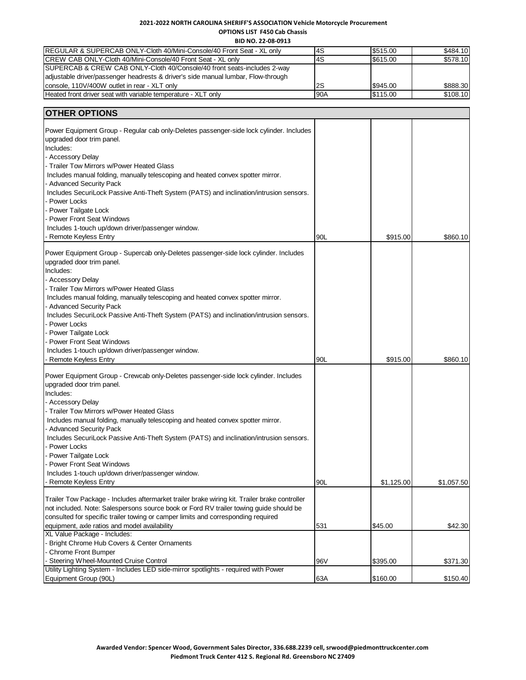## **2021-2022 NORTH CAROLINA SHERIFF'S ASSOCIATION Vehicle Motorcycle Procurement OPTIONS LIST F450 Cab Chassis**

**BID NO. 22-08-0913**

| <b>IREGULAR &amp; SUPERCAB ONLY-Cloth 40/Mini-Console/40 Front Seat - XL only</b> | l4S  | \$515.00 | \$484.10 |
|-----------------------------------------------------------------------------------|------|----------|----------|
| CREW CAB ONLY-Cloth 40/Mini-Console/40 Front Seat - XL only                       | l4S  | \$615.00 | \$578.10 |
| SUPERCAB & CREW CAB ONLY-Cloth 40/Console/40 front seats-includes 2-way           |      |          |          |
| adjustable driver/passenger headrests & driver's side manual lumbar, Flow-through |      |          |          |
| console, 110V/400W outlet in rear - XLT only                                      | l2S  | \$945.00 | \$888.30 |
| Heated front driver seat with variable temperature - XLT only                     | 190A | \$115.00 | \$108.10 |

| upgraded door trim panel.<br>Includes:<br>- Accessory Delay<br>Trailer Tow Mirrors w/Power Heated Glass<br>Includes manual folding, manually telescoping and heated convex spotter mirror.<br><b>Advanced Security Pack</b><br>Includes SecuriLock Passive Anti-Theft System (PATS) and inclination/intrusion sensors.<br>Power Locks<br>Power Tailgate Lock<br><b>Power Front Seat Windows</b><br>Includes 1-touch up/down driver/passenger window.<br>Remote Keyless Entry<br>90L<br>\$915.00<br>\$860.10<br>Power Equipment Group - Supercab only-Deletes passenger-side lock cylinder. Includes<br>upgraded door trim panel.<br>Includes:<br>- Accessory Delay<br>Trailer Tow Mirrors w/Power Heated Glass<br>Includes manual folding, manually telescoping and heated convex spotter mirror.<br>Advanced Security Pack<br>Includes SecuriLock Passive Anti-Theft System (PATS) and inclination/intrusion sensors.<br>Power Locks<br>Power Tailgate Lock<br>Power Front Seat Windows<br>Includes 1-touch up/down driver/passenger window.<br>Remote Keyless Entry<br>90L<br>\$915.00<br>\$860.10<br>Power Equipment Group - Crewcab only-Deletes passenger-side lock cylinder. Includes<br>upgraded door trim panel.<br>Includes:<br>- Accessory Delay<br>Trailer Tow Mirrors w/Power Heated Glass<br>Includes manual folding, manually telescoping and heated convex spotter mirror.<br><b>Advanced Security Pack</b><br>Includes SecuriLock Passive Anti-Theft System (PATS) and inclination/intrusion sensors.<br>Power Locks<br>Power Tailgate Lock<br><b>Power Front Seat Windows</b><br>Includes 1-touch up/down driver/passenger window.<br><b>Remote Keyless Entry</b><br>90L<br>\$1,125.00<br>\$1,057.50<br>Trailer Tow Package - Includes aftermarket trailer brake wiring kit. Trailer brake controller<br>not included. Note: Salespersons source book or Ford RV trailer towing guide should be<br>consulted for specific trailer towing or camper limits and corresponding required<br>531<br>equipment, axle ratios and model availability<br>\$45.00<br>\$42.30<br>XL Value Package - Includes:<br>Bright Chrome Hub Covers & Center Ornaments<br>Chrome Front Bumper<br>Steering Wheel-Mounted Cruise Control<br>\$395.00<br>96V<br>\$371.30<br>Utility Lighting System - Includes LED side-mirror spotlights - required with Power | <b>OTHER OPTIONS</b>                                                                    |     |          |          |
|----------------------------------------------------------------------------------------------------------------------------------------------------------------------------------------------------------------------------------------------------------------------------------------------------------------------------------------------------------------------------------------------------------------------------------------------------------------------------------------------------------------------------------------------------------------------------------------------------------------------------------------------------------------------------------------------------------------------------------------------------------------------------------------------------------------------------------------------------------------------------------------------------------------------------------------------------------------------------------------------------------------------------------------------------------------------------------------------------------------------------------------------------------------------------------------------------------------------------------------------------------------------------------------------------------------------------------------------------------------------------------------------------------------------------------------------------------------------------------------------------------------------------------------------------------------------------------------------------------------------------------------------------------------------------------------------------------------------------------------------------------------------------------------------------------------------------------------------------------------------------------------------------------------------------------------------------------------------------------------------------------------------------------------------------------------------------------------------------------------------------------------------------------------------------------------------------------------------------------------------------------------------------------------------------------------------------------------------------------|-----------------------------------------------------------------------------------------|-----|----------|----------|
|                                                                                                                                                                                                                                                                                                                                                                                                                                                                                                                                                                                                                                                                                                                                                                                                                                                                                                                                                                                                                                                                                                                                                                                                                                                                                                                                                                                                                                                                                                                                                                                                                                                                                                                                                                                                                                                                                                                                                                                                                                                                                                                                                                                                                                                                                                                                                          | Power Equipment Group - Regular cab only-Deletes passenger-side lock cylinder. Includes |     |          |          |
|                                                                                                                                                                                                                                                                                                                                                                                                                                                                                                                                                                                                                                                                                                                                                                                                                                                                                                                                                                                                                                                                                                                                                                                                                                                                                                                                                                                                                                                                                                                                                                                                                                                                                                                                                                                                                                                                                                                                                                                                                                                                                                                                                                                                                                                                                                                                                          |                                                                                         |     |          |          |
|                                                                                                                                                                                                                                                                                                                                                                                                                                                                                                                                                                                                                                                                                                                                                                                                                                                                                                                                                                                                                                                                                                                                                                                                                                                                                                                                                                                                                                                                                                                                                                                                                                                                                                                                                                                                                                                                                                                                                                                                                                                                                                                                                                                                                                                                                                                                                          |                                                                                         |     |          |          |
|                                                                                                                                                                                                                                                                                                                                                                                                                                                                                                                                                                                                                                                                                                                                                                                                                                                                                                                                                                                                                                                                                                                                                                                                                                                                                                                                                                                                                                                                                                                                                                                                                                                                                                                                                                                                                                                                                                                                                                                                                                                                                                                                                                                                                                                                                                                                                          |                                                                                         |     |          |          |
|                                                                                                                                                                                                                                                                                                                                                                                                                                                                                                                                                                                                                                                                                                                                                                                                                                                                                                                                                                                                                                                                                                                                                                                                                                                                                                                                                                                                                                                                                                                                                                                                                                                                                                                                                                                                                                                                                                                                                                                                                                                                                                                                                                                                                                                                                                                                                          |                                                                                         |     |          |          |
|                                                                                                                                                                                                                                                                                                                                                                                                                                                                                                                                                                                                                                                                                                                                                                                                                                                                                                                                                                                                                                                                                                                                                                                                                                                                                                                                                                                                                                                                                                                                                                                                                                                                                                                                                                                                                                                                                                                                                                                                                                                                                                                                                                                                                                                                                                                                                          |                                                                                         |     |          |          |
|                                                                                                                                                                                                                                                                                                                                                                                                                                                                                                                                                                                                                                                                                                                                                                                                                                                                                                                                                                                                                                                                                                                                                                                                                                                                                                                                                                                                                                                                                                                                                                                                                                                                                                                                                                                                                                                                                                                                                                                                                                                                                                                                                                                                                                                                                                                                                          |                                                                                         |     |          |          |
|                                                                                                                                                                                                                                                                                                                                                                                                                                                                                                                                                                                                                                                                                                                                                                                                                                                                                                                                                                                                                                                                                                                                                                                                                                                                                                                                                                                                                                                                                                                                                                                                                                                                                                                                                                                                                                                                                                                                                                                                                                                                                                                                                                                                                                                                                                                                                          |                                                                                         |     |          |          |
|                                                                                                                                                                                                                                                                                                                                                                                                                                                                                                                                                                                                                                                                                                                                                                                                                                                                                                                                                                                                                                                                                                                                                                                                                                                                                                                                                                                                                                                                                                                                                                                                                                                                                                                                                                                                                                                                                                                                                                                                                                                                                                                                                                                                                                                                                                                                                          |                                                                                         |     |          |          |
|                                                                                                                                                                                                                                                                                                                                                                                                                                                                                                                                                                                                                                                                                                                                                                                                                                                                                                                                                                                                                                                                                                                                                                                                                                                                                                                                                                                                                                                                                                                                                                                                                                                                                                                                                                                                                                                                                                                                                                                                                                                                                                                                                                                                                                                                                                                                                          |                                                                                         |     |          |          |
|                                                                                                                                                                                                                                                                                                                                                                                                                                                                                                                                                                                                                                                                                                                                                                                                                                                                                                                                                                                                                                                                                                                                                                                                                                                                                                                                                                                                                                                                                                                                                                                                                                                                                                                                                                                                                                                                                                                                                                                                                                                                                                                                                                                                                                                                                                                                                          |                                                                                         |     |          |          |
|                                                                                                                                                                                                                                                                                                                                                                                                                                                                                                                                                                                                                                                                                                                                                                                                                                                                                                                                                                                                                                                                                                                                                                                                                                                                                                                                                                                                                                                                                                                                                                                                                                                                                                                                                                                                                                                                                                                                                                                                                                                                                                                                                                                                                                                                                                                                                          |                                                                                         |     |          |          |
|                                                                                                                                                                                                                                                                                                                                                                                                                                                                                                                                                                                                                                                                                                                                                                                                                                                                                                                                                                                                                                                                                                                                                                                                                                                                                                                                                                                                                                                                                                                                                                                                                                                                                                                                                                                                                                                                                                                                                                                                                                                                                                                                                                                                                                                                                                                                                          |                                                                                         |     |          |          |
|                                                                                                                                                                                                                                                                                                                                                                                                                                                                                                                                                                                                                                                                                                                                                                                                                                                                                                                                                                                                                                                                                                                                                                                                                                                                                                                                                                                                                                                                                                                                                                                                                                                                                                                                                                                                                                                                                                                                                                                                                                                                                                                                                                                                                                                                                                                                                          |                                                                                         |     |          |          |
|                                                                                                                                                                                                                                                                                                                                                                                                                                                                                                                                                                                                                                                                                                                                                                                                                                                                                                                                                                                                                                                                                                                                                                                                                                                                                                                                                                                                                                                                                                                                                                                                                                                                                                                                                                                                                                                                                                                                                                                                                                                                                                                                                                                                                                                                                                                                                          |                                                                                         |     |          |          |
|                                                                                                                                                                                                                                                                                                                                                                                                                                                                                                                                                                                                                                                                                                                                                                                                                                                                                                                                                                                                                                                                                                                                                                                                                                                                                                                                                                                                                                                                                                                                                                                                                                                                                                                                                                                                                                                                                                                                                                                                                                                                                                                                                                                                                                                                                                                                                          |                                                                                         |     |          |          |
|                                                                                                                                                                                                                                                                                                                                                                                                                                                                                                                                                                                                                                                                                                                                                                                                                                                                                                                                                                                                                                                                                                                                                                                                                                                                                                                                                                                                                                                                                                                                                                                                                                                                                                                                                                                                                                                                                                                                                                                                                                                                                                                                                                                                                                                                                                                                                          |                                                                                         |     |          |          |
|                                                                                                                                                                                                                                                                                                                                                                                                                                                                                                                                                                                                                                                                                                                                                                                                                                                                                                                                                                                                                                                                                                                                                                                                                                                                                                                                                                                                                                                                                                                                                                                                                                                                                                                                                                                                                                                                                                                                                                                                                                                                                                                                                                                                                                                                                                                                                          |                                                                                         |     |          |          |
|                                                                                                                                                                                                                                                                                                                                                                                                                                                                                                                                                                                                                                                                                                                                                                                                                                                                                                                                                                                                                                                                                                                                                                                                                                                                                                                                                                                                                                                                                                                                                                                                                                                                                                                                                                                                                                                                                                                                                                                                                                                                                                                                                                                                                                                                                                                                                          |                                                                                         |     |          |          |
|                                                                                                                                                                                                                                                                                                                                                                                                                                                                                                                                                                                                                                                                                                                                                                                                                                                                                                                                                                                                                                                                                                                                                                                                                                                                                                                                                                                                                                                                                                                                                                                                                                                                                                                                                                                                                                                                                                                                                                                                                                                                                                                                                                                                                                                                                                                                                          |                                                                                         |     |          |          |
|                                                                                                                                                                                                                                                                                                                                                                                                                                                                                                                                                                                                                                                                                                                                                                                                                                                                                                                                                                                                                                                                                                                                                                                                                                                                                                                                                                                                                                                                                                                                                                                                                                                                                                                                                                                                                                                                                                                                                                                                                                                                                                                                                                                                                                                                                                                                                          |                                                                                         |     |          |          |
|                                                                                                                                                                                                                                                                                                                                                                                                                                                                                                                                                                                                                                                                                                                                                                                                                                                                                                                                                                                                                                                                                                                                                                                                                                                                                                                                                                                                                                                                                                                                                                                                                                                                                                                                                                                                                                                                                                                                                                                                                                                                                                                                                                                                                                                                                                                                                          |                                                                                         |     |          |          |
|                                                                                                                                                                                                                                                                                                                                                                                                                                                                                                                                                                                                                                                                                                                                                                                                                                                                                                                                                                                                                                                                                                                                                                                                                                                                                                                                                                                                                                                                                                                                                                                                                                                                                                                                                                                                                                                                                                                                                                                                                                                                                                                                                                                                                                                                                                                                                          |                                                                                         |     |          |          |
|                                                                                                                                                                                                                                                                                                                                                                                                                                                                                                                                                                                                                                                                                                                                                                                                                                                                                                                                                                                                                                                                                                                                                                                                                                                                                                                                                                                                                                                                                                                                                                                                                                                                                                                                                                                                                                                                                                                                                                                                                                                                                                                                                                                                                                                                                                                                                          |                                                                                         |     |          |          |
|                                                                                                                                                                                                                                                                                                                                                                                                                                                                                                                                                                                                                                                                                                                                                                                                                                                                                                                                                                                                                                                                                                                                                                                                                                                                                                                                                                                                                                                                                                                                                                                                                                                                                                                                                                                                                                                                                                                                                                                                                                                                                                                                                                                                                                                                                                                                                          |                                                                                         |     |          |          |
|                                                                                                                                                                                                                                                                                                                                                                                                                                                                                                                                                                                                                                                                                                                                                                                                                                                                                                                                                                                                                                                                                                                                                                                                                                                                                                                                                                                                                                                                                                                                                                                                                                                                                                                                                                                                                                                                                                                                                                                                                                                                                                                                                                                                                                                                                                                                                          |                                                                                         |     |          |          |
|                                                                                                                                                                                                                                                                                                                                                                                                                                                                                                                                                                                                                                                                                                                                                                                                                                                                                                                                                                                                                                                                                                                                                                                                                                                                                                                                                                                                                                                                                                                                                                                                                                                                                                                                                                                                                                                                                                                                                                                                                                                                                                                                                                                                                                                                                                                                                          |                                                                                         |     |          |          |
|                                                                                                                                                                                                                                                                                                                                                                                                                                                                                                                                                                                                                                                                                                                                                                                                                                                                                                                                                                                                                                                                                                                                                                                                                                                                                                                                                                                                                                                                                                                                                                                                                                                                                                                                                                                                                                                                                                                                                                                                                                                                                                                                                                                                                                                                                                                                                          |                                                                                         |     |          |          |
|                                                                                                                                                                                                                                                                                                                                                                                                                                                                                                                                                                                                                                                                                                                                                                                                                                                                                                                                                                                                                                                                                                                                                                                                                                                                                                                                                                                                                                                                                                                                                                                                                                                                                                                                                                                                                                                                                                                                                                                                                                                                                                                                                                                                                                                                                                                                                          |                                                                                         |     |          |          |
|                                                                                                                                                                                                                                                                                                                                                                                                                                                                                                                                                                                                                                                                                                                                                                                                                                                                                                                                                                                                                                                                                                                                                                                                                                                                                                                                                                                                                                                                                                                                                                                                                                                                                                                                                                                                                                                                                                                                                                                                                                                                                                                                                                                                                                                                                                                                                          |                                                                                         |     |          |          |
|                                                                                                                                                                                                                                                                                                                                                                                                                                                                                                                                                                                                                                                                                                                                                                                                                                                                                                                                                                                                                                                                                                                                                                                                                                                                                                                                                                                                                                                                                                                                                                                                                                                                                                                                                                                                                                                                                                                                                                                                                                                                                                                                                                                                                                                                                                                                                          |                                                                                         |     |          |          |
|                                                                                                                                                                                                                                                                                                                                                                                                                                                                                                                                                                                                                                                                                                                                                                                                                                                                                                                                                                                                                                                                                                                                                                                                                                                                                                                                                                                                                                                                                                                                                                                                                                                                                                                                                                                                                                                                                                                                                                                                                                                                                                                                                                                                                                                                                                                                                          |                                                                                         |     |          |          |
|                                                                                                                                                                                                                                                                                                                                                                                                                                                                                                                                                                                                                                                                                                                                                                                                                                                                                                                                                                                                                                                                                                                                                                                                                                                                                                                                                                                                                                                                                                                                                                                                                                                                                                                                                                                                                                                                                                                                                                                                                                                                                                                                                                                                                                                                                                                                                          |                                                                                         |     |          |          |
|                                                                                                                                                                                                                                                                                                                                                                                                                                                                                                                                                                                                                                                                                                                                                                                                                                                                                                                                                                                                                                                                                                                                                                                                                                                                                                                                                                                                                                                                                                                                                                                                                                                                                                                                                                                                                                                                                                                                                                                                                                                                                                                                                                                                                                                                                                                                                          |                                                                                         |     |          |          |
|                                                                                                                                                                                                                                                                                                                                                                                                                                                                                                                                                                                                                                                                                                                                                                                                                                                                                                                                                                                                                                                                                                                                                                                                                                                                                                                                                                                                                                                                                                                                                                                                                                                                                                                                                                                                                                                                                                                                                                                                                                                                                                                                                                                                                                                                                                                                                          |                                                                                         |     |          |          |
|                                                                                                                                                                                                                                                                                                                                                                                                                                                                                                                                                                                                                                                                                                                                                                                                                                                                                                                                                                                                                                                                                                                                                                                                                                                                                                                                                                                                                                                                                                                                                                                                                                                                                                                                                                                                                                                                                                                                                                                                                                                                                                                                                                                                                                                                                                                                                          |                                                                                         |     |          |          |
|                                                                                                                                                                                                                                                                                                                                                                                                                                                                                                                                                                                                                                                                                                                                                                                                                                                                                                                                                                                                                                                                                                                                                                                                                                                                                                                                                                                                                                                                                                                                                                                                                                                                                                                                                                                                                                                                                                                                                                                                                                                                                                                                                                                                                                                                                                                                                          |                                                                                         |     |          |          |
|                                                                                                                                                                                                                                                                                                                                                                                                                                                                                                                                                                                                                                                                                                                                                                                                                                                                                                                                                                                                                                                                                                                                                                                                                                                                                                                                                                                                                                                                                                                                                                                                                                                                                                                                                                                                                                                                                                                                                                                                                                                                                                                                                                                                                                                                                                                                                          |                                                                                         |     |          |          |
|                                                                                                                                                                                                                                                                                                                                                                                                                                                                                                                                                                                                                                                                                                                                                                                                                                                                                                                                                                                                                                                                                                                                                                                                                                                                                                                                                                                                                                                                                                                                                                                                                                                                                                                                                                                                                                                                                                                                                                                                                                                                                                                                                                                                                                                                                                                                                          |                                                                                         |     |          |          |
|                                                                                                                                                                                                                                                                                                                                                                                                                                                                                                                                                                                                                                                                                                                                                                                                                                                                                                                                                                                                                                                                                                                                                                                                                                                                                                                                                                                                                                                                                                                                                                                                                                                                                                                                                                                                                                                                                                                                                                                                                                                                                                                                                                                                                                                                                                                                                          |                                                                                         |     |          |          |
|                                                                                                                                                                                                                                                                                                                                                                                                                                                                                                                                                                                                                                                                                                                                                                                                                                                                                                                                                                                                                                                                                                                                                                                                                                                                                                                                                                                                                                                                                                                                                                                                                                                                                                                                                                                                                                                                                                                                                                                                                                                                                                                                                                                                                                                                                                                                                          |                                                                                         |     |          |          |
|                                                                                                                                                                                                                                                                                                                                                                                                                                                                                                                                                                                                                                                                                                                                                                                                                                                                                                                                                                                                                                                                                                                                                                                                                                                                                                                                                                                                                                                                                                                                                                                                                                                                                                                                                                                                                                                                                                                                                                                                                                                                                                                                                                                                                                                                                                                                                          |                                                                                         |     |          |          |
|                                                                                                                                                                                                                                                                                                                                                                                                                                                                                                                                                                                                                                                                                                                                                                                                                                                                                                                                                                                                                                                                                                                                                                                                                                                                                                                                                                                                                                                                                                                                                                                                                                                                                                                                                                                                                                                                                                                                                                                                                                                                                                                                                                                                                                                                                                                                                          |                                                                                         |     |          |          |
|                                                                                                                                                                                                                                                                                                                                                                                                                                                                                                                                                                                                                                                                                                                                                                                                                                                                                                                                                                                                                                                                                                                                                                                                                                                                                                                                                                                                                                                                                                                                                                                                                                                                                                                                                                                                                                                                                                                                                                                                                                                                                                                                                                                                                                                                                                                                                          |                                                                                         |     |          |          |
|                                                                                                                                                                                                                                                                                                                                                                                                                                                                                                                                                                                                                                                                                                                                                                                                                                                                                                                                                                                                                                                                                                                                                                                                                                                                                                                                                                                                                                                                                                                                                                                                                                                                                                                                                                                                                                                                                                                                                                                                                                                                                                                                                                                                                                                                                                                                                          |                                                                                         |     |          |          |
|                                                                                                                                                                                                                                                                                                                                                                                                                                                                                                                                                                                                                                                                                                                                                                                                                                                                                                                                                                                                                                                                                                                                                                                                                                                                                                                                                                                                                                                                                                                                                                                                                                                                                                                                                                                                                                                                                                                                                                                                                                                                                                                                                                                                                                                                                                                                                          |                                                                                         |     |          |          |
|                                                                                                                                                                                                                                                                                                                                                                                                                                                                                                                                                                                                                                                                                                                                                                                                                                                                                                                                                                                                                                                                                                                                                                                                                                                                                                                                                                                                                                                                                                                                                                                                                                                                                                                                                                                                                                                                                                                                                                                                                                                                                                                                                                                                                                                                                                                                                          |                                                                                         |     |          |          |
|                                                                                                                                                                                                                                                                                                                                                                                                                                                                                                                                                                                                                                                                                                                                                                                                                                                                                                                                                                                                                                                                                                                                                                                                                                                                                                                                                                                                                                                                                                                                                                                                                                                                                                                                                                                                                                                                                                                                                                                                                                                                                                                                                                                                                                                                                                                                                          |                                                                                         |     |          |          |
|                                                                                                                                                                                                                                                                                                                                                                                                                                                                                                                                                                                                                                                                                                                                                                                                                                                                                                                                                                                                                                                                                                                                                                                                                                                                                                                                                                                                                                                                                                                                                                                                                                                                                                                                                                                                                                                                                                                                                                                                                                                                                                                                                                                                                                                                                                                                                          |                                                                                         |     |          |          |
|                                                                                                                                                                                                                                                                                                                                                                                                                                                                                                                                                                                                                                                                                                                                                                                                                                                                                                                                                                                                                                                                                                                                                                                                                                                                                                                                                                                                                                                                                                                                                                                                                                                                                                                                                                                                                                                                                                                                                                                                                                                                                                                                                                                                                                                                                                                                                          | Equipment Group (90L)                                                                   | 63A | \$160.00 | \$150.40 |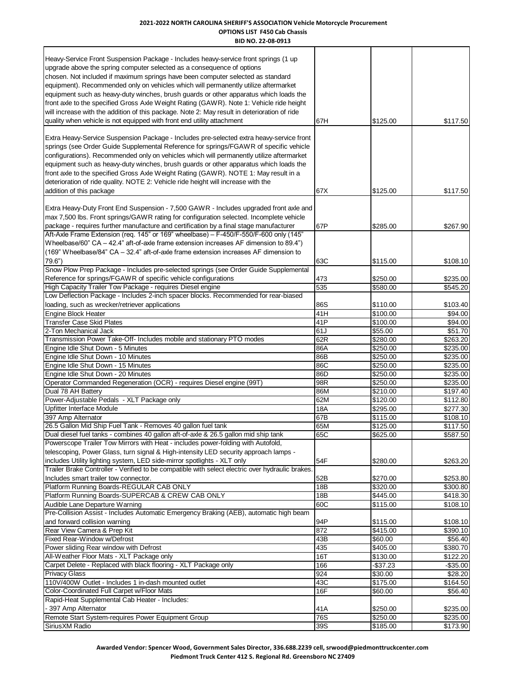#### **2021-2022 NORTH CAROLINA SHERIFF'S ASSOCIATION Vehicle Motorcycle Procurement OPTIONS LIST F450 Cab Chassis BID NO. 22-08-0913**

| בבט-סט-22 ועוט                                                                                                                                                                                                                                                                                                                                                                                                                                                                                                                                                                                                               |            |                      |                      |
|------------------------------------------------------------------------------------------------------------------------------------------------------------------------------------------------------------------------------------------------------------------------------------------------------------------------------------------------------------------------------------------------------------------------------------------------------------------------------------------------------------------------------------------------------------------------------------------------------------------------------|------------|----------------------|----------------------|
| Heavy-Service Front Suspension Package - Includes heavy-service front springs (1 up<br>upgrade above the spring computer selected as a consequence of options<br>chosen. Not included if maximum springs have been computer selected as standard<br>equipment). Recommended only on vehicles which will permanently utilize aftermarket<br>equipment such as heavy-duty winches, brush guards or other apparatus which loads the<br>front axle to the specified Gross Axle Weight Rating (GAWR). Note 1: Vehicle ride height<br>will increase with the addition of this package. Note 2: May result in deterioration of ride | 67H        | \$125.00             |                      |
| quality when vehicle is not equipped with front end utility attachment                                                                                                                                                                                                                                                                                                                                                                                                                                                                                                                                                       |            |                      | \$117.50             |
| Extra Heavy-Service Suspension Package - Includes pre-selected extra heavy-service front<br>springs (see Order Guide Supplemental Reference for springs/FGAWR of specific vehicle<br>configurations). Recommended only on vehicles which will permanently utilize aftermarket<br>equipment such as heavy-duty winches, brush guards or other apparatus which loads the<br>front axle to the specified Gross Axle Weight Rating (GAWR). NOTE 1: May result in a<br>deterioration of ride quality. NOTE 2: Vehicle ride height will increase with the<br>addition of this package                                              | 67X        | \$125.00             | \$117.50             |
| Extra Heavy-Duty Front End Suspension - 7,500 GAWR - Includes upgraded front axle and<br>max 7,500 lbs. Front springs/GAWR rating for configuration selected. Incomplete vehicle<br>package - requires further manufacture and certification by a final stage manufacturer                                                                                                                                                                                                                                                                                                                                                   | 67P        | \$285.00             | \$267.90             |
| Aft-Axle Frame Extension (req. 145" or 169" wheelbase) - F-450/F-550/F-600 only (145"<br>Wheelbase/60" CA - 42.4" aft-of-axle frame extension increases AF dimension to 89.4")<br>(169" Wheelbase/84" CA – 32.4" aft-of-axle frame extension increases AF dimension to<br>$79.6$ ")                                                                                                                                                                                                                                                                                                                                          | 63C        | \$115.00             | \$108.10             |
| Snow Plow Prep Package - Includes pre-selected springs (see Order Guide Supplemental                                                                                                                                                                                                                                                                                                                                                                                                                                                                                                                                         |            |                      |                      |
| Reference for springs/FGAWR of specific vehicle configurations                                                                                                                                                                                                                                                                                                                                                                                                                                                                                                                                                               | 473        | \$250.00             | \$235.00             |
| High Capacity Trailer Tow Package - requires Diesel engine<br>Low Deflection Package - Includes 2-inch spacer blocks. Recommended for rear-biased                                                                                                                                                                                                                                                                                                                                                                                                                                                                            | 535        | \$580.00             | \$545.20             |
| loading, such as wrecker/retriever applications                                                                                                                                                                                                                                                                                                                                                                                                                                                                                                                                                                              | 86S        | \$110.00             | \$103.40             |
| <b>Engine Block Heater</b>                                                                                                                                                                                                                                                                                                                                                                                                                                                                                                                                                                                                   | 41H        | \$100.00             | \$94.00              |
| <b>Transfer Case Skid Plates</b>                                                                                                                                                                                                                                                                                                                                                                                                                                                                                                                                                                                             | 41P        | \$100.00             | \$94.00              |
| 2-Ton Mechanical Jack                                                                                                                                                                                                                                                                                                                                                                                                                                                                                                                                                                                                        | 61J        | \$55.00              | \$51.70              |
| Transmission Power Take-Off- Includes mobile and stationary PTO modes                                                                                                                                                                                                                                                                                                                                                                                                                                                                                                                                                        | 62R        | \$280.00             | \$263.20             |
| Engine Idle Shut Down - 5 Minutes                                                                                                                                                                                                                                                                                                                                                                                                                                                                                                                                                                                            | 86A        | \$250.00             | \$235.00             |
| Engine Idle Shut Down - 10 Minutes                                                                                                                                                                                                                                                                                                                                                                                                                                                                                                                                                                                           | 86B        | \$250.00             | \$235.00             |
| Engine Idle Shut Down - 15 Minutes                                                                                                                                                                                                                                                                                                                                                                                                                                                                                                                                                                                           | 86C        | \$250.00             | \$235.00<br>\$235.00 |
| Engine Idle Shut Down - 20 Minutes<br>Operator Commanded Regeneration (OCR) - requires Diesel engine (99T)                                                                                                                                                                                                                                                                                                                                                                                                                                                                                                                   | 86D<br>98R | \$250.00<br>\$250.00 | \$235.00             |
| Dual 78 AH Battery                                                                                                                                                                                                                                                                                                                                                                                                                                                                                                                                                                                                           | 86M        | \$210.00             | \$197.40             |
| Power-Adjustable Pedals - XLT Package only                                                                                                                                                                                                                                                                                                                                                                                                                                                                                                                                                                                   | 62M        | \$120.00             | \$112.80             |
| <b>Upfitter Interface Module</b>                                                                                                                                                                                                                                                                                                                                                                                                                                                                                                                                                                                             | 18A        | \$295.00             | \$277.30             |
| 397 Amp Alternator                                                                                                                                                                                                                                                                                                                                                                                                                                                                                                                                                                                                           | 67B        | \$115.00             | \$108.10             |
| 26.5 Gallon Mid Ship Fuel Tank - Removes 40 gallon fuel tank                                                                                                                                                                                                                                                                                                                                                                                                                                                                                                                                                                 | 65M        | \$125.00             | \$117.50             |
| Dual diesel fuel tanks - combines 40 gallon aft-of-axle & 26.5 gallon mid ship tank<br>Powerscope Trailer Tow Mirrors with Heat - includes power-folding with Autofold,                                                                                                                                                                                                                                                                                                                                                                                                                                                      | 65C        | \$625.00             | \$587.50             |
| telescoping, Power Glass, turn signal & High-intensity LED security approach lamps -                                                                                                                                                                                                                                                                                                                                                                                                                                                                                                                                         |            |                      |                      |
| includes Utility lighting system, LED side-mirror spotlights - XLT only                                                                                                                                                                                                                                                                                                                                                                                                                                                                                                                                                      | 54F        | \$280.00             | \$263.20             |
| Trailer Brake Controller - Verified to be compatible with select electric over hydraulic brakes                                                                                                                                                                                                                                                                                                                                                                                                                                                                                                                              |            |                      |                      |
| Includes smart trailer tow connector.                                                                                                                                                                                                                                                                                                                                                                                                                                                                                                                                                                                        | 52B        | \$270.00             | \$253.80             |
| Platform Running Boards-REGULAR CAB ONLY                                                                                                                                                                                                                                                                                                                                                                                                                                                                                                                                                                                     | 18B        | \$320.00             | \$300.80             |
| Platform Running Boards-SUPERCAB & CREW CAB ONLY                                                                                                                                                                                                                                                                                                                                                                                                                                                                                                                                                                             | 18B        | \$445.00             | \$418.30             |
| Audible Lane Departure Warning<br>Pre-Collision Assist - Includes Automatic Emergency Braking (AEB), automatic high beam                                                                                                                                                                                                                                                                                                                                                                                                                                                                                                     | 60C        | \$115.00             | \$108.10             |
| and forward collision warning                                                                                                                                                                                                                                                                                                                                                                                                                                                                                                                                                                                                | 94P        | \$115.00             | \$108.10             |
| Rear View Camera & Prep Kit                                                                                                                                                                                                                                                                                                                                                                                                                                                                                                                                                                                                  | 872        | \$415.00             | \$390.10             |
| Fixed Rear-Window w/Defrost                                                                                                                                                                                                                                                                                                                                                                                                                                                                                                                                                                                                  | 43B        | \$60.00              | \$56.40              |
| Power sliding Rear window with Defrost                                                                                                                                                                                                                                                                                                                                                                                                                                                                                                                                                                                       | 435        | \$405.00             | \$380.70             |
| All-Weather Floor Mats - XLT Package only                                                                                                                                                                                                                                                                                                                                                                                                                                                                                                                                                                                    | 16T        | \$130.00             | \$122.20             |
| Carpet Delete - Replaced with black flooring - XLT Package only<br><b>Privacy Glass</b>                                                                                                                                                                                                                                                                                                                                                                                                                                                                                                                                      | 166<br>924 | $-$37.23$<br>\$30.00 | $-$35.00$<br>\$28.20 |
| 110V/400W Outlet - Includes 1 in-dash mounted outlet                                                                                                                                                                                                                                                                                                                                                                                                                                                                                                                                                                         | 43C        | \$175.00             | \$164.50             |
| Color-Coordinated Full Carpet w/Floor Mats                                                                                                                                                                                                                                                                                                                                                                                                                                                                                                                                                                                   | 16F        | \$60.00              | \$56.40              |
| Rapid-Heat Supplemental Cab Heater - Includes:                                                                                                                                                                                                                                                                                                                                                                                                                                                                                                                                                                               |            |                      |                      |
| - 397 Amp Alternator                                                                                                                                                                                                                                                                                                                                                                                                                                                                                                                                                                                                         | 41A        | \$250.00             | \$235.00             |
| Remote Start System-requires Power Equipment Group                                                                                                                                                                                                                                                                                                                                                                                                                                                                                                                                                                           | 76S        | \$250.00             | \$235.00             |
| SiriusXM Radio                                                                                                                                                                                                                                                                                                                                                                                                                                                                                                                                                                                                               | 39S        | \$185.00             | \$173.90             |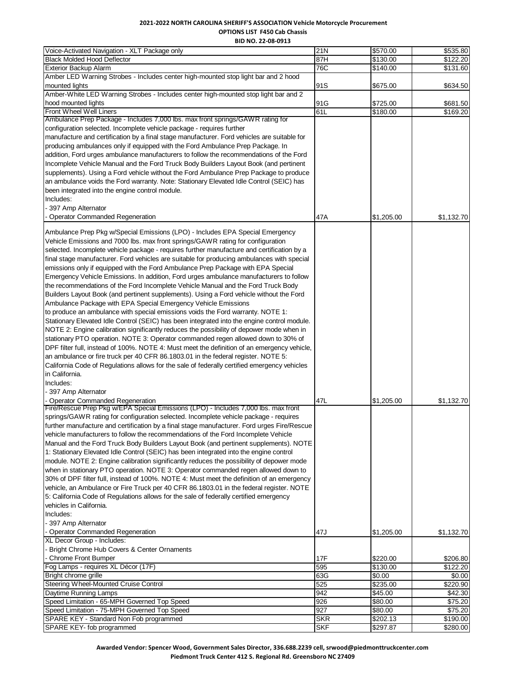# **2021-2022 NORTH CAROLINA SHERIFF'S ASSOCIATION Vehicle Motorcycle Procurement OPTIONS LIST F450 Cab Chassis**

**BID NO. 22-08-0913**

| Voice-Activated Navigation - XLT Package only                                                | 21N        | \$570.00   | \$535.80   |
|----------------------------------------------------------------------------------------------|------------|------------|------------|
| <b>Black Molded Hood Deflector</b>                                                           | 87H        | \$130.00   | \$122.20   |
| <b>Exterior Backup Alarm</b>                                                                 | 76C        | \$140.00   | \$131.60   |
| Amber LED Warning Strobes - Includes center high-mounted stop light bar and 2 hood           |            |            |            |
| mounted lights                                                                               | 91S        | \$675.00   | \$634.50   |
| Amber-White LED Warning Strobes - Includes center high-mounted stop light bar and 2          |            |            |            |
| hood mounted lights                                                                          | 91G        | \$725.00   | \$681.50   |
| Front Wheel Well Liners                                                                      | 61L        | \$180.00   | \$169.20   |
| Ambulance Prep Package - Includes 7,000 lbs. max front springs/GAWR rating for               |            |            |            |
| configuration selected. Incomplete vehicle package - requires further                        |            |            |            |
| manufacture and certification by a final stage manufacturer. Ford vehicles are suitable for  |            |            |            |
| producing ambulances only if equipped with the Ford Ambulance Prep Package. In               |            |            |            |
| addition, Ford urges ambulance manufacturers to follow the recommendations of the Ford       |            |            |            |
| Incomplete Vehicle Manual and the Ford Truck Body Builders Layout Book (and pertinent        |            |            |            |
| supplements). Using a Ford vehicle without the Ford Ambulance Prep Package to produce        |            |            |            |
| an ambulance voids the Ford warranty. Note: Stationary Elevated Idle Control (SEIC) has      |            |            |            |
| been integrated into the engine control module.                                              |            |            |            |
| Includes:                                                                                    |            |            |            |
| - 397 Amp Alternator                                                                         |            |            |            |
| <b>Operator Commanded Regeneration</b>                                                       | 47A        | \$1,205.00 | \$1,132.70 |
|                                                                                              |            |            |            |
| Ambulance Prep Pkg w/Special Emissions (LPO) - Includes EPA Special Emergency                |            |            |            |
| Vehicle Emissions and 7000 lbs. max front springs/GAWR rating for configuration              |            |            |            |
| selected. Incomplete vehicle package - requires further manufacture and certification by a   |            |            |            |
| final stage manufacturer. Ford vehicles are suitable for producing ambulances with special   |            |            |            |
| emissions only if equipped with the Ford Ambulance Prep Package with EPA Special             |            |            |            |
| Emergency Vehicle Emissions. In addition, Ford urges ambulance manufacturers to follow       |            |            |            |
|                                                                                              |            |            |            |
| the recommendations of the Ford Incomplete Vehicle Manual and the Ford Truck Body            |            |            |            |
| Builders Layout Book (and pertinent supplements). Using a Ford vehicle without the Ford      |            |            |            |
| Ambulance Package with EPA Special Emergency Vehicle Emissions                               |            |            |            |
| to produce an ambulance with special emissions voids the Ford warranty. NOTE 1:              |            |            |            |
| Stationary Elevated Idle Control (SEIC) has been integrated into the engine control module.  |            |            |            |
| NOTE 2: Engine calibration significantly reduces the possibility of depower mode when in     |            |            |            |
| stationary PTO operation. NOTE 3: Operator commanded regen allowed down to 30% of            |            |            |            |
| DPF filter full, instead of 100%. NOTE 4: Must meet the definition of an emergency vehicle,  |            |            |            |
| an ambulance or fire truck per 40 CFR 86.1803.01 in the federal register. NOTE 5:            |            |            |            |
| California Code of Regulations allows for the sale of federally certified emergency vehicles |            |            |            |
| in California.                                                                               |            |            |            |
| Includes:                                                                                    |            |            |            |
| - 397 Amp Alternator                                                                         |            |            |            |
| <b>Operator Commanded Regeneration</b>                                                       | 47L        | \$1,205.00 | \$1,132.70 |
| Fire/Rescue Prep Pkg w/EPA Special Emissions (LPO) - Includes 7,000 lbs. max front           |            |            |            |
| springs/GAWR rating for configuration selected. Incomplete vehicle package - requires        |            |            |            |
| further manufacture and certification by a final stage manufacturer. Ford urges Fire/Rescue  |            |            |            |
| vehicle manufacturers to follow the recommendations of the Ford Incomplete Vehicle           |            |            |            |
| Manual and the Ford Truck Body Builders Layout Book (and pertinent supplements). NOTE        |            |            |            |
| 1: Stationary Elevated Idle Control (SEIC) has been integrated into the engine control       |            |            |            |
| module. NOTE 2: Engine calibration significantly reduces the possibility of depower mode     |            |            |            |
| when in stationary PTO operation. NOTE 3: Operator commanded regen allowed down to           |            |            |            |
| 30% of DPF filter full, instead of 100%. NOTE 4: Must meet the definition of an emergency    |            |            |            |
| vehicle, an Ambulance or Fire Truck per 40 CFR 86.1803.01 in the federal register. NOTE      |            |            |            |
| 5: California Code of Regulations allows for the sale of federally certified emergency       |            |            |            |
| vehicles in California.                                                                      |            |            |            |
| Includes:                                                                                    |            |            |            |
| - 397 Amp Alternator                                                                         |            |            |            |
| <b>Operator Commanded Regeneration</b>                                                       | 47J        | \$1,205.00 | \$1,132.70 |
| XL Decor Group - Includes:                                                                   |            |            |            |
| Bright Chrome Hub Covers & Center Ornaments                                                  |            |            |            |
| - Chrome Front Bumper                                                                        | 17F        | \$220.00   | \$206.80   |
| Fog Lamps - requires XL Décor (17F)                                                          | 595        | \$130.00   | \$122.20   |
| Bright chrome grille                                                                         | 63G        | \$0.00     | \$0.00     |
| Steering Wheel-Mounted Cruise Control                                                        | 525        | \$235.00   | \$220.90   |
| Daytime Running Lamps                                                                        | 942        | \$45.00    | \$42.30    |
| Speed Limitation - 65-MPH Governed Top Speed                                                 | 926        | \$80.00    | \$75.20    |
| Speed Limitation - 75-MPH Governed Top Speed                                                 | 927        | \$80.00    | \$75.20    |
| SPARE KEY - Standard Non Fob programmed                                                      | <b>SKR</b> | \$202.13   | \$190.00   |
| SPARE KEY- fob programmed                                                                    | <b>SKF</b> | \$297.87   | \$280.00   |
|                                                                                              |            |            |            |

**Awarded Vendor: Spencer Wood, Government Sales Director, 336.688.2239 cell, srwood@piedmonttruckcenter.com Piedmont Truck Center 412 S. Regional Rd. Greensboro NC 27409**